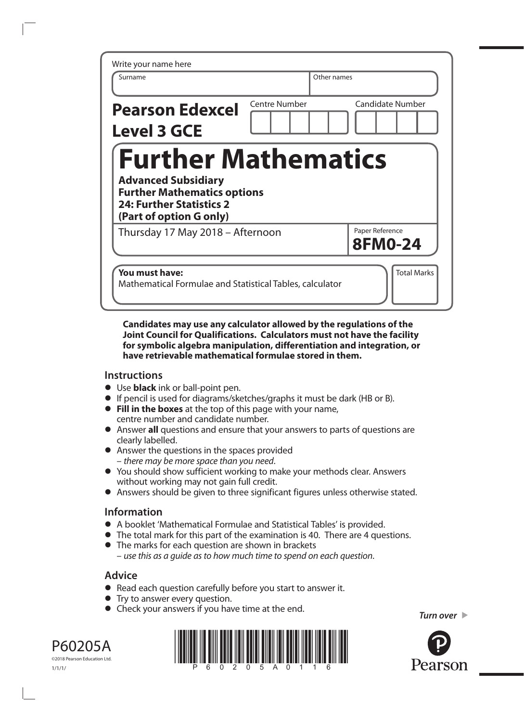| Write your name here                                                                                                                                         |                      |                         |
|--------------------------------------------------------------------------------------------------------------------------------------------------------------|----------------------|-------------------------|
| Surname                                                                                                                                                      |                      | Other names             |
| <b>Pearson Edexcel</b>                                                                                                                                       | <b>Centre Number</b> | <b>Candidate Number</b> |
| <b>Level 3 GCE</b>                                                                                                                                           |                      |                         |
| <b>Further Mathematics</b><br><b>Advanced Subsidiary</b><br><b>Further Mathematics options</b><br><b>24: Further Statistics 2</b><br>(Part of option G only) |                      |                         |
| Thursday 17 May 2018 - Afternoon                                                                                                                             |                      | Paper Reference         |
|                                                                                                                                                              |                      | <b>8FM0-24</b>          |

## **Candidates may use any calculator allowed by the regulations of the Joint Council for Qualifications. Calculators must not have the facility for symbolic algebra manipulation, differentiation and integration, or have retrievable mathematical formulae stored in them.**

## **Instructions**

- **•** Use **black** ink or ball-point pen.
- **•** If pencil is used for diagrams/sketches/graphs it must be dark (HB or B).
- **• Fill in the boxes** at the top of this page with your name, centre number and candidate number.
- **•** Answer **all** questions and ensure that your answers to parts of questions are clearly labelled.
- **•** Answer the questions in the spaces provided – *there may be more space than you need*.
- **•** You should show sufficient working to make your methods clear. Answers without working may not gain full credit.
- **•** Answers should be given to three significant figures unless otherwise stated.

## **Information**

- **•** A booklet 'Mathematical Formulae and Statistical Tables' is provided.
- **•** The total mark for this part of the examination is 40. There are 4 questions.
- **•** The marks for each question are shown in brackets – *use this as a guide as to how much time to spend on each question*.

## **Advice**

- **•** Read each question carefully before you start to answer it.
- **•** Try to answer every question.
- **•** Check your answers if you have time at the end.







*Turn over*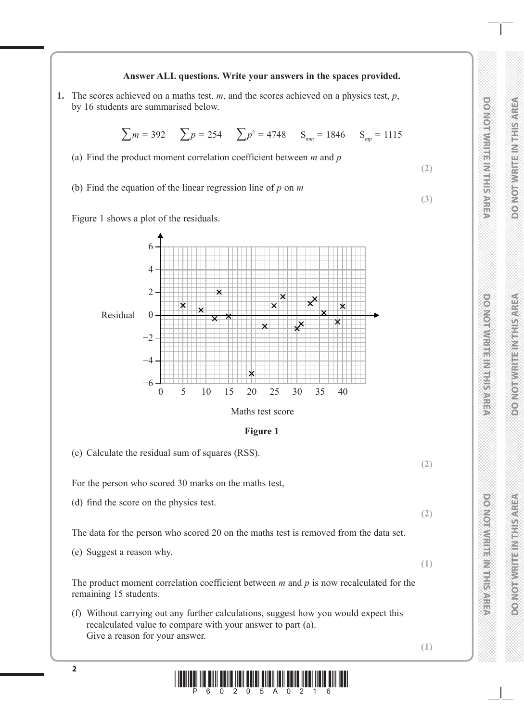

**1.** The scores achieved on a maths test, *m*, and the scores achieved on a physics test, *p*, by 16 students are summarised below.



**DO NOT WRITE IN THIS AREA DO NOT WRITE IN THIS AREA DO NOT WRITE IN THIS AREA PONOTAVE TENERAL PROPERTY** 

**DO NOT WRITE IN THIS AREA** 

**BOONOT WRITEINBIRS ARE** 

**DO NOIAMENTE NA FELESCRET** 

**DO NOT WRITE IN THIS AREA**

**DO NOT WRITE IN THIS AREA**

**DOMORATION SERVICES** 

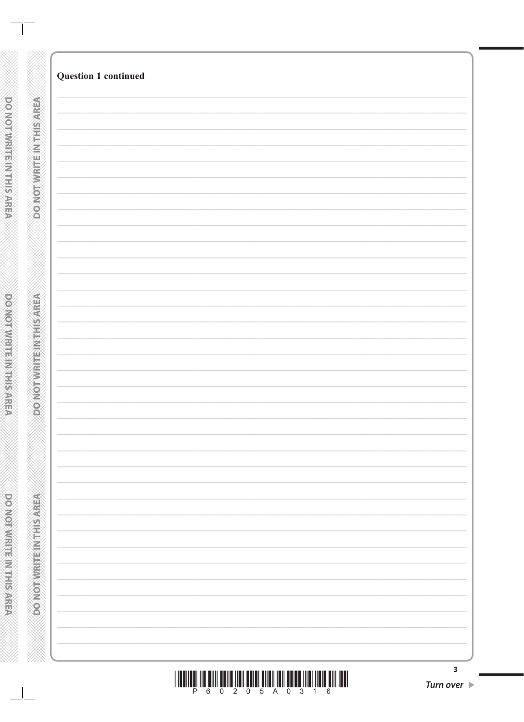| $\overline{\mathbf{3}}$         |
|---------------------------------|
| Turn over $\blacktriangleright$ |
|                                 |

DONOTWRITEINTHIS AREA

**Question 1 continued** 

**PONOTMRITEMTHISMREA** 

DONOTWRITEINTHIS AREA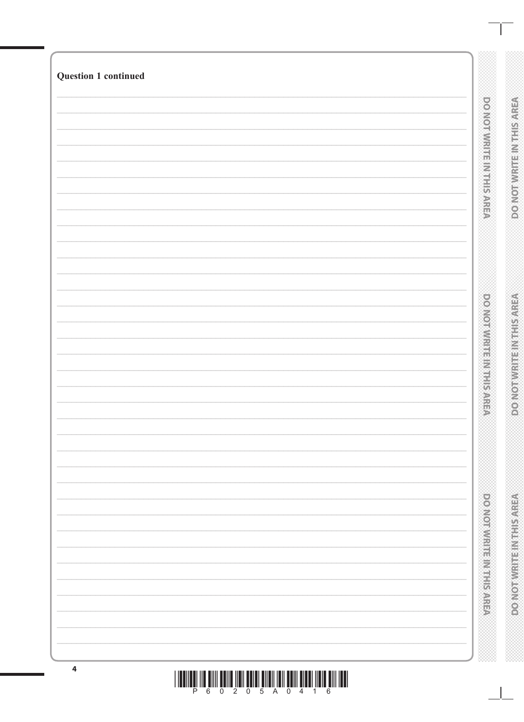| <b>Question 1 continued</b>                                                                        |                               |                                 |
|----------------------------------------------------------------------------------------------------|-------------------------------|---------------------------------|
|                                                                                                    |                               |                                 |
|                                                                                                    | <b>DOMORWICE MAIL: SAREA</b>  | <b>DO NOTWRITE IN THIS AREA</b> |
|                                                                                                    |                               |                                 |
|                                                                                                    |                               |                                 |
|                                                                                                    |                               |                                 |
|                                                                                                    |                               |                                 |
|                                                                                                    |                               |                                 |
|                                                                                                    |                               |                                 |
|                                                                                                    |                               |                                 |
|                                                                                                    |                               |                                 |
|                                                                                                    | <b>DO NORMALE REPORTS/NEW</b> |                                 |
|                                                                                                    |                               |                                 |
|                                                                                                    |                               | <b>MELLINGONO</b>               |
|                                                                                                    |                               |                                 |
|                                                                                                    |                               |                                 |
|                                                                                                    |                               |                                 |
|                                                                                                    |                               |                                 |
|                                                                                                    |                               |                                 |
|                                                                                                    |                               |                                 |
|                                                                                                    | <b>PONCENT ESTABLISHED</b>    | <b>PONORVIRTHE INTERNATIONS</b> |
|                                                                                                    |                               |                                 |
|                                                                                                    |                               |                                 |
|                                                                                                    |                               |                                 |
| $\overline{\mathbf{4}}$<br>THE CONTRACT OF REAL REAL CHAIRS REPORT OF LEADING AND LODGED AND LEAD. |                               |                                 |

<u>THEN IN AND POID AND AND AND AND AND AT AND AND AND INDEPENDENT OF A LIBRARY OF A LIBRARY OF A LIBRARY OF A LI</u>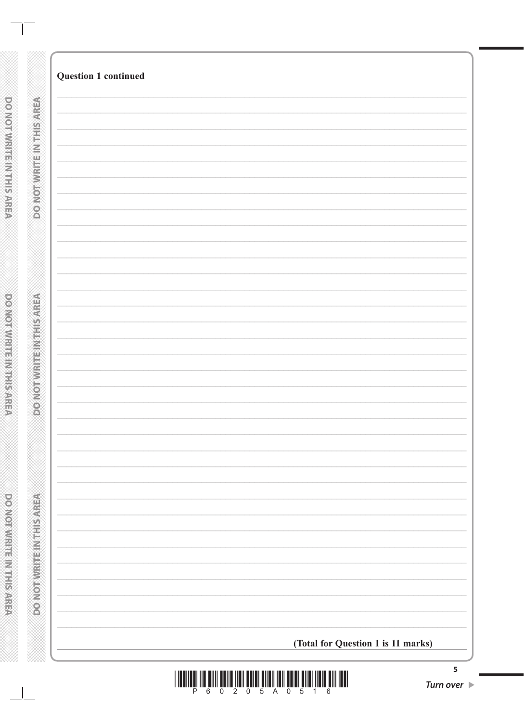|                       | <b>Question 1 continued</b> |                                    |
|-----------------------|-----------------------------|------------------------------------|
|                       |                             |                                    |
|                       |                             |                                    |
| DO NOTWARTH NITHSAREA |                             |                                    |
|                       |                             |                                    |
|                       |                             |                                    |
|                       |                             |                                    |
|                       |                             |                                    |
|                       |                             |                                    |
|                       |                             |                                    |
|                       |                             |                                    |
|                       |                             |                                    |
|                       |                             |                                    |
|                       |                             |                                    |
|                       |                             |                                    |
|                       |                             |                                    |
|                       |                             |                                    |
|                       |                             |                                    |
|                       |                             |                                    |
|                       |                             |                                    |
|                       |                             |                                    |
|                       |                             |                                    |
|                       |                             |                                    |
|                       |                             |                                    |
|                       |                             |                                    |
|                       |                             |                                    |
|                       |                             |                                    |
|                       |                             |                                    |
|                       |                             |                                    |
|                       |                             |                                    |
|                       |                             |                                    |
|                       |                             |                                    |
|                       |                             |                                    |
|                       |                             |                                    |
|                       |                             |                                    |
|                       |                             |                                    |
|                       |                             | (Total for Question 1 is 11 marks) |



DODINOTIVIRITE IN THIS AREA

**POOMMATIC MITHSTARS** 

 $\overline{\phantom{0}}$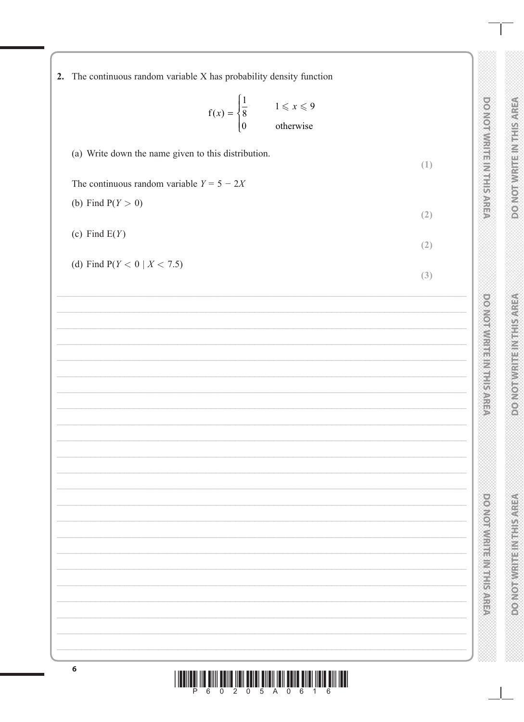| 2. The continuous random variable X has probability density function<br>$f(x) = \begin{cases} \frac{1}{8} & 1 \leq x \leq 9 \\ 0 & \text{otherwise} \end{cases}$ | <b>DONOIAW: IEEMILES CONSER</b>         |
|------------------------------------------------------------------------------------------------------------------------------------------------------------------|-----------------------------------------|
| (a) Write down the name given to this distribution.                                                                                                              | (1)                                     |
| The continuous random variable $Y = 5 - 2X$                                                                                                                      |                                         |
| (b) Find $P(Y > 0)$                                                                                                                                              |                                         |
| (c) Find $E(Y)$                                                                                                                                                  | (2)                                     |
|                                                                                                                                                                  | (2)                                     |
| (d) Find $P(Y < 0 \mid X < 7.5)$                                                                                                                                 | (3)                                     |
| <u> 1980 - Johann Barn, mars ann an t-Amhain Aonaich an t-Aonaich an t-Aonaich ann an t-Aonaich ann an t-Aonaich</u>                                             | <b>PONOSKI HERRIFESTATION</b>           |
|                                                                                                                                                                  |                                         |
| <u> 1989 - Johann Barn, mars ann an t-Amhain Aonaich an t-Aonaich an t-Aonaich an t-Aonaich an t-Aonaich an t-Aon</u>                                            |                                         |
|                                                                                                                                                                  |                                         |
|                                                                                                                                                                  |                                         |
|                                                                                                                                                                  |                                         |
|                                                                                                                                                                  |                                         |
|                                                                                                                                                                  |                                         |
|                                                                                                                                                                  |                                         |
|                                                                                                                                                                  |                                         |
|                                                                                                                                                                  | <b>POSTORIAL PROPERTY AND RESIDENCE</b> |
|                                                                                                                                                                  |                                         |
|                                                                                                                                                                  |                                         |
|                                                                                                                                                                  |                                         |
|                                                                                                                                                                  |                                         |

**DO NOT WRITE IN THIS AREA** 

**DOMORWITH THIS AREA** 

**DONOT WRITE IN THIS AREA**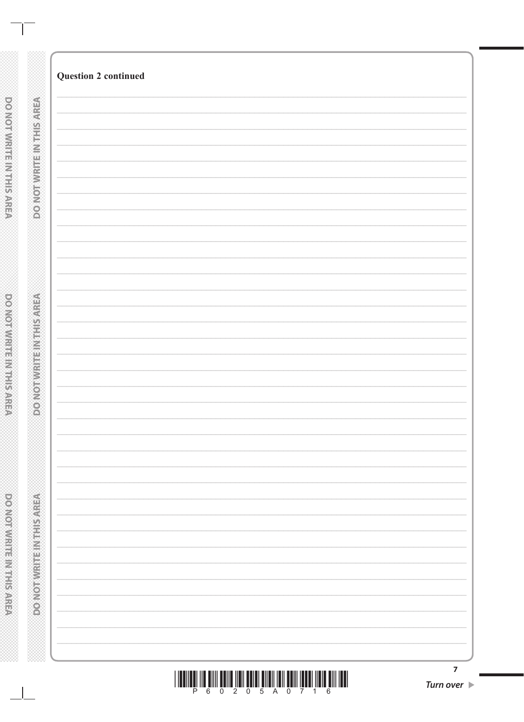$\blacktriangleright$ 

 $\mathbb{R}^n$ 

**Question 2 continued** 

**DO NOTWRITES IN THIS AREA**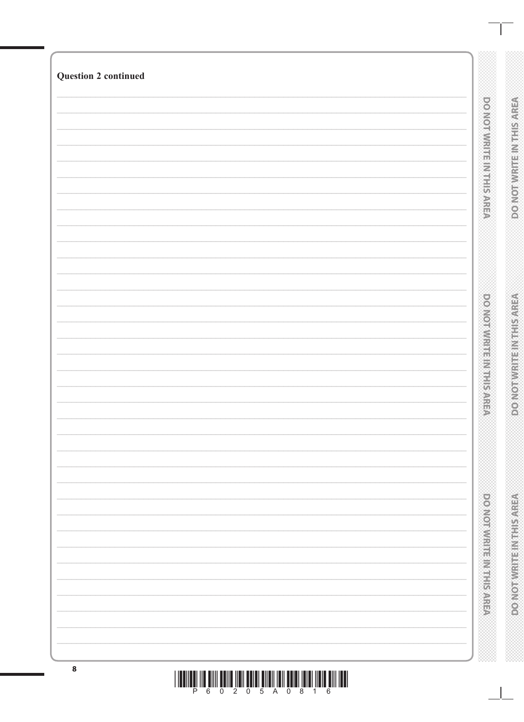| $\bf8$                      |                                  |                                 |
|-----------------------------|----------------------------------|---------------------------------|
|                             | <b>DOMESTIC REPORT OF STATES</b> | <b>PONORVIRTHE INTERNATIONS</b> |
|                             | power management of the state    | <b>DO NOT WRITE INTERNAREA</b>  |
|                             | <b>DOMOTIVE EINE EINER SAREA</b> | <b>DONOTWRITEINTHSAREA</b>      |
| <b>Question 2 continued</b> |                                  |                                 |

<u>THEN HE WILL BE WE WILL BE AN ALL BE WANTED FOR A LIFE WILL BE WILL BE AN ALL BE WILL BE WILL BE ALL BE WILL </u>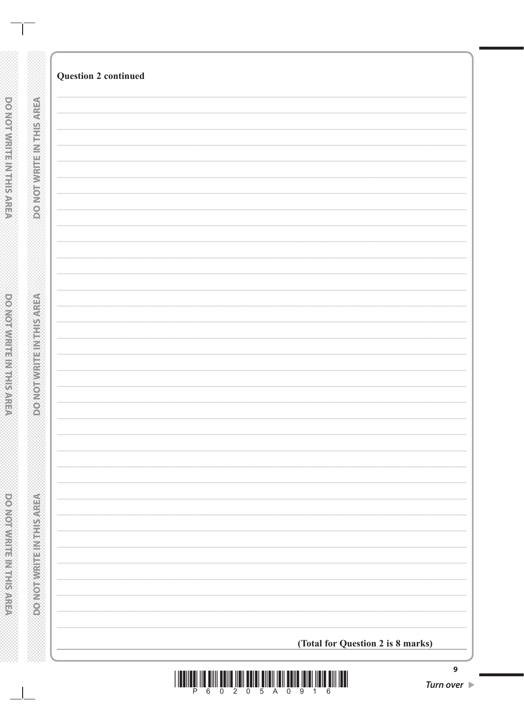| <b>Question 2 continued</b>       |
|-----------------------------------|
|                                   |
|                                   |
|                                   |
|                                   |
|                                   |
|                                   |
|                                   |
|                                   |
|                                   |
|                                   |
|                                   |
|                                   |
|                                   |
|                                   |
|                                   |
|                                   |
|                                   |
|                                   |
|                                   |
|                                   |
|                                   |
|                                   |
|                                   |
|                                   |
|                                   |
|                                   |
|                                   |
|                                   |
|                                   |
|                                   |
|                                   |
|                                   |
|                                   |
|                                   |
|                                   |
|                                   |
|                                   |
|                                   |
|                                   |
|                                   |
|                                   |
|                                   |
|                                   |
|                                   |
|                                   |
|                                   |
| (Total for Question 2 is 8 marks) |
|                                   |

 $\mathbb{R}^2$ 

DO NOTWRITE IN THIS AREA

DOOMOTWRITEINTHIS AREA

**DOOMOTIVIRE IN THIS AREA** 

 $\Box$ 

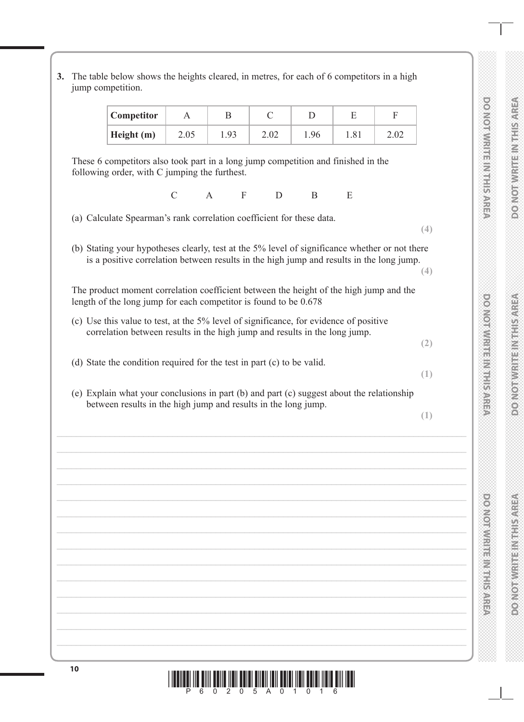| Competitor                                                                                                                                                          | A             | B    | $\mathcal{C}$    | D            | E    | $\boldsymbol{\mathrm{F}}$ |     |
|---------------------------------------------------------------------------------------------------------------------------------------------------------------------|---------------|------|------------------|--------------|------|---------------------------|-----|
| Height (m)                                                                                                                                                          | 2.05          | 1.93 | 2.02             | 1.96         | 1.81 | 2.02                      |     |
| These 6 competitors also took part in a long jump competition and finished in the<br>following order, with C jumping the furthest.                                  |               |      |                  |              |      |                           |     |
|                                                                                                                                                                     | $\mathcal{C}$ | A    | $\mathbf F$<br>D | $\mathbf{B}$ | E    |                           |     |
| (a) Calculate Spearman's rank correlation coefficient for these data.                                                                                               |               |      |                  |              |      |                           | (4) |
| (b) Stating your hypotheses clearly, test at the 5% level of significance whether or not there                                                                      |               |      |                  |              |      |                           |     |
| is a positive correlation between results in the high jump and results in the long jump.                                                                            |               |      |                  |              |      |                           | (4) |
| The product moment correlation coefficient between the height of the high jump and the                                                                              |               |      |                  |              |      |                           |     |
| length of the long jump for each competitor is found to be 0.678                                                                                                    |               |      |                  |              |      |                           |     |
| (c) Use this value to test, at the 5% level of significance, for evidence of positive<br>correlation between results in the high jump and results in the long jump. |               |      |                  |              |      |                           |     |
|                                                                                                                                                                     |               |      |                  |              |      |                           | (2) |
| (d) State the condition required for the test in part (c) to be valid.                                                                                              |               |      |                  |              |      |                           |     |
|                                                                                                                                                                     |               |      |                  |              |      |                           | (1) |
| (e) Explain what your conclusions in part (b) and part (c) suggest about the relationship<br>between results in the high jump and results in the long jump.         |               |      |                  |              |      |                           |     |
|                                                                                                                                                                     |               |      |                  |              |      |                           | (1) |
|                                                                                                                                                                     |               |      |                  |              |      |                           |     |
|                                                                                                                                                                     |               |      |                  |              |      |                           |     |
|                                                                                                                                                                     |               |      |                  |              |      |                           |     |
|                                                                                                                                                                     |               |      |                  |              |      |                           |     |
|                                                                                                                                                                     |               |      |                  |              |      |                           |     |
|                                                                                                                                                                     |               |      |                  |              |      |                           |     |
|                                                                                                                                                                     |               |      |                  |              |      |                           |     |
|                                                                                                                                                                     |               |      |                  |              |      |                           |     |
|                                                                                                                                                                     |               |      |                  |              |      |                           |     |
|                                                                                                                                                                     |               |      |                  |              |      |                           |     |

**DO NOT WRITE IN THIS AREA DO NOT WRITE IN THIS AREA DO NOT WRITE IN THIS AREA**

**VERNES HALLMAN LONOCO** 

**DONOTWRITE IN THIS AREA** 

DO NOT WRITE IN THIS AREA

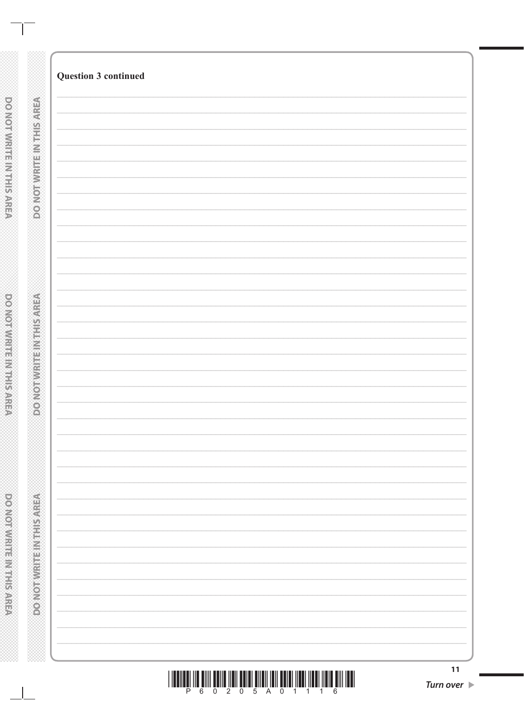DO NOT WRITE IN THIS AREA

 $\sim$  1

**DO NOT WIRTH MITHS ARRES** 

powerware marketing

11 Turn over  $\blacktriangleright$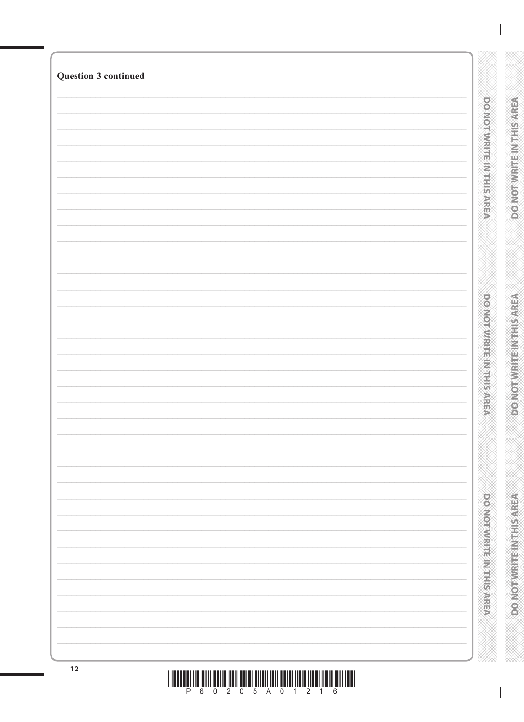| <b>DONOrmittenment</b><br><b>DO NOTWATE INTHIS AREA</b><br><b>DOMORWISH SHARES AND REAL</b><br><b>PONOTHUR HEIMARD</b><br><b>DOMOROVICINE SHOWS IN STREET</b><br><b>PONORVIRTHE INTERNATIONS</b> |
|--------------------------------------------------------------------------------------------------------------------------------------------------------------------------------------------------|
|                                                                                                                                                                                                  |
|                                                                                                                                                                                                  |
| <b>Question 3 continued</b>                                                                                                                                                                      |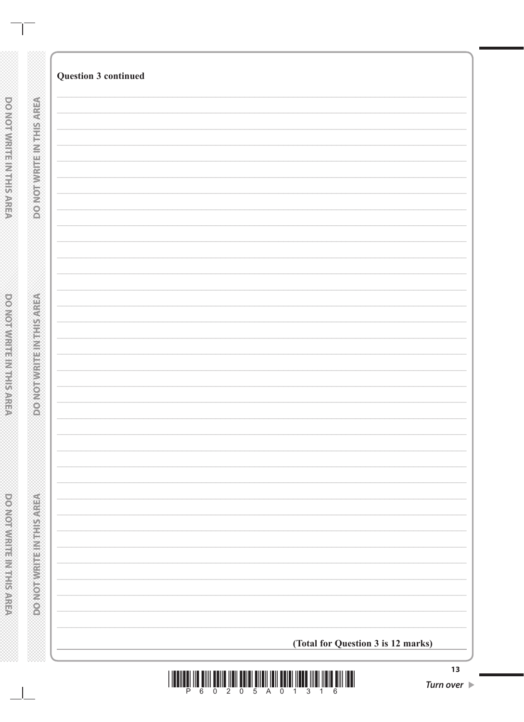|                             | <b>Question 3 continued</b>        |
|-----------------------------|------------------------------------|
|                             |                                    |
| <b>DO NOTWEITHNIES AREA</b> |                                    |
|                             |                                    |
|                             |                                    |
|                             |                                    |
|                             |                                    |
|                             |                                    |
|                             |                                    |
|                             |                                    |
|                             |                                    |
|                             |                                    |
|                             |                                    |
|                             |                                    |
| <b>PONORWEITENBERGER</b>    |                                    |
|                             |                                    |
|                             |                                    |
|                             |                                    |
|                             |                                    |
|                             |                                    |
|                             |                                    |
|                             |                                    |
|                             |                                    |
|                             |                                    |
|                             |                                    |
|                             |                                    |
|                             |                                    |
| DONOTWERE NORRSAREA         |                                    |
|                             |                                    |
|                             |                                    |
|                             |                                    |
|                             |                                    |
|                             |                                    |
|                             |                                    |
|                             |                                    |
|                             | (Total for Question 3 is 12 marks) |
|                             |                                    |

**XXXXX** 

DOMOTWRITE IN THIS AREA

**DO NOT WRITE INTHIS AREA** 

DO NOT WRITE IN THE RACEA

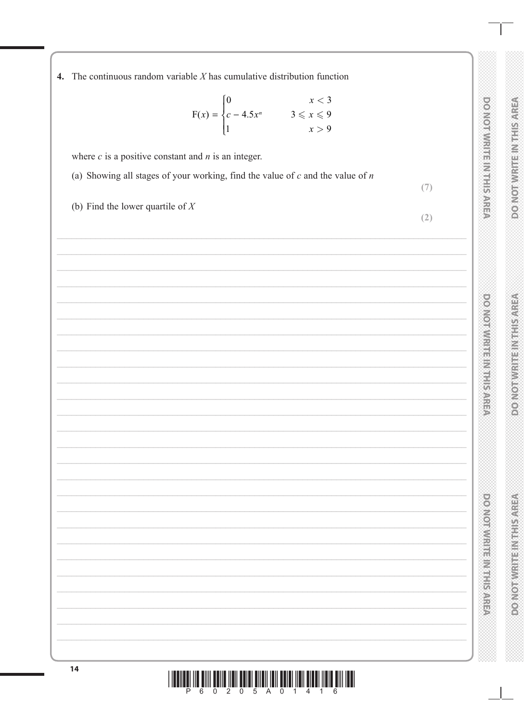4. The continuous random variable  $X$  has cumulative distribution function

$$
F(x) = \begin{cases} 0 & x < 3 \\ c - 4.5x^n & 3 \le x \le 9 \\ 1 & x > 9 \end{cases}
$$

where  $c$  is a positive constant and  $n$  is an integer.

(a) Showing all stages of your working, find the value of  $c$  and the value of  $n$ 

(b) Find the lower quartile of  $X$ 

 $(7)$ 

 $(2)$ 

| ¥            |
|--------------|
|              |
| ø<br>s       |
|              |
|              |
|              |
|              |
| Ž            |
|              |
| j            |
|              |
|              |
| خد           |
| ĵ            |
|              |
|              |
|              |
|              |
| ⋛            |
| ÷            |
|              |
|              |
| ≚<br>Í       |
|              |
| ì            |
| ¥            |
|              |
|              |
| 줆            |
|              |
|              |
| ì<br>ĭ       |
|              |
| ÿ            |
|              |
| j            |
|              |
|              |
| î            |
|              |
| ì            |
|              |
| Č<br>1       |
|              |
| ₩<br>×       |
|              |
|              |
| ١            |
|              |
|              |
|              |
|              |
|              |
|              |
|              |
|              |
|              |
|              |
|              |
| e<br>E<br>'n |
| ¥            |

**DO NOT WHITEIN THIS AREA** 

**DO NOTWRITE INTHIS AREA** 

**DONOTWRITE INTHISAREA** 

**DONORWRITER IN THE SONG** 

**DOMORATION SERVES AND SALES** 

6 0 2 0 5 A 0 1 4 1 6 P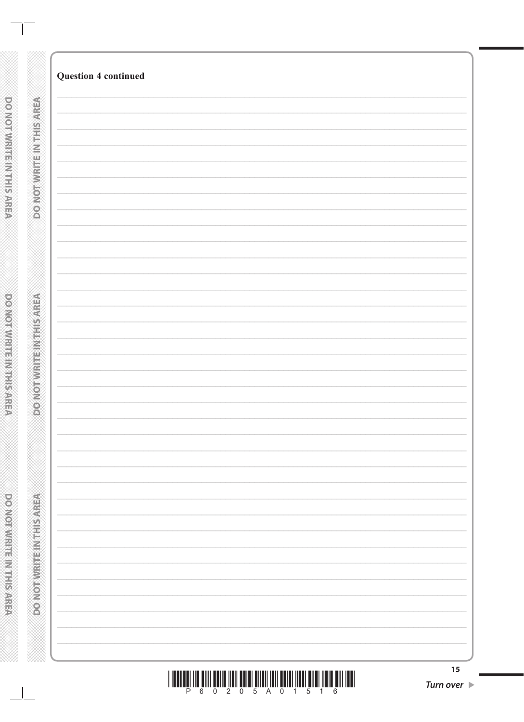|                                               | <b>Question 4 continued</b>                                                                                                                                                                                                                                                                                                                                                                                                                                   |                  |
|-----------------------------------------------|---------------------------------------------------------------------------------------------------------------------------------------------------------------------------------------------------------------------------------------------------------------------------------------------------------------------------------------------------------------------------------------------------------------------------------------------------------------|------------------|
| <b>DO NOTWRITEINITEIS AREA</b>                |                                                                                                                                                                                                                                                                                                                                                                                                                                                               |                  |
|                                               |                                                                                                                                                                                                                                                                                                                                                                                                                                                               |                  |
|                                               |                                                                                                                                                                                                                                                                                                                                                                                                                                                               |                  |
|                                               |                                                                                                                                                                                                                                                                                                                                                                                                                                                               |                  |
|                                               |                                                                                                                                                                                                                                                                                                                                                                                                                                                               |                  |
|                                               |                                                                                                                                                                                                                                                                                                                                                                                                                                                               |                  |
|                                               |                                                                                                                                                                                                                                                                                                                                                                                                                                                               |                  |
|                                               |                                                                                                                                                                                                                                                                                                                                                                                                                                                               |                  |
|                                               |                                                                                                                                                                                                                                                                                                                                                                                                                                                               |                  |
|                                               |                                                                                                                                                                                                                                                                                                                                                                                                                                                               |                  |
| <b>RECIVED TRANSPORTED AND LOCAL CONTRACT</b> |                                                                                                                                                                                                                                                                                                                                                                                                                                                               |                  |
|                                               |                                                                                                                                                                                                                                                                                                                                                                                                                                                               |                  |
|                                               |                                                                                                                                                                                                                                                                                                                                                                                                                                                               |                  |
|                                               |                                                                                                                                                                                                                                                                                                                                                                                                                                                               |                  |
|                                               |                                                                                                                                                                                                                                                                                                                                                                                                                                                               |                  |
|                                               |                                                                                                                                                                                                                                                                                                                                                                                                                                                               |                  |
|                                               |                                                                                                                                                                                                                                                                                                                                                                                                                                                               |                  |
|                                               |                                                                                                                                                                                                                                                                                                                                                                                                                                                               |                  |
|                                               |                                                                                                                                                                                                                                                                                                                                                                                                                                                               |                  |
| <b>PONOTAVE ENGINEER</b>                      |                                                                                                                                                                                                                                                                                                                                                                                                                                                               |                  |
|                                               |                                                                                                                                                                                                                                                                                                                                                                                                                                                               |                  |
|                                               |                                                                                                                                                                                                                                                                                                                                                                                                                                                               |                  |
|                                               |                                                                                                                                                                                                                                                                                                                                                                                                                                                               |                  |
|                                               |                                                                                                                                                                                                                                                                                                                                                                                                                                                               |                  |
|                                               |                                                                                                                                                                                                                                                                                                                                                                                                                                                               | 15               |
|                                               | $\begin{array}{c} \text{if} \ \text{if} \ \text{if} \ \text{if} \ \text{if} \ \text{if} \ \text{if} \ \text{if} \ \text{if} \ \text{if} \ \text{if} \ \text{if} \ \text{if} \ \text{if} \ \text{if} \ \text{if} \ \text{if} \ \text{if} \ \text{if} \ \text{if} \ \text{if} \ \text{if} \ \text{if} \ \text{if} \ \text{if} \ \text{if} \ \text{if} \ \text{if} \ \text{if} \ \text{if} \ \text{if} \ \text{if} \ \text{if} \ \text{if} \ \text{if} \ \text{$ | <b>Turn over</b> |

 $\mathbf{I}$ 

**DO NOT WIRTH MITHS ARRES** 

**PONOTIVE INTERNATION** 

⋙